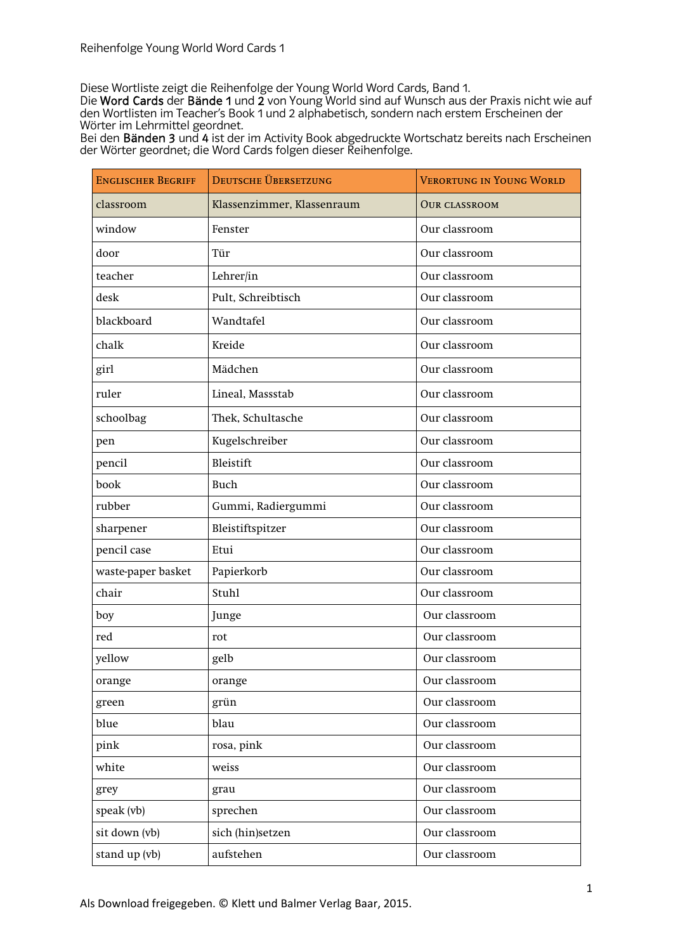Diese Wortliste zeigt die Reihenfolge der Young World Word Cards, Band 1.

Die Word Cards der Bände 1 und 2 von Young World sind auf Wunsch aus der Praxis nicht wie auf den Wortlisten im Teacher's Book 1 und 2 alphabetisch, sondern nach erstem Erscheinen der Wörter im Lehrmittel geordnet.

Bei den Bänden 3 und 4 ist der im Activity Book abgedruckte Wortschatz bereits nach Erscheinen der Wörter geordnet; die Word Cards folgen dieser Reihenfolge.

| <b>ENGLISCHER BEGRIFF</b> | DEUTSCHE ÜBERSETZUNG       | <b>VERORTUNG IN YOUNG WORLD</b> |
|---------------------------|----------------------------|---------------------------------|
| classroom                 | Klassenzimmer, Klassenraum | <b>OUR CLASSROOM</b>            |
| window                    | Fenster                    | Our classroom                   |
| door                      | Tür                        | Our classroom                   |
| teacher                   | Lehrer/in                  | Our classroom                   |
| desk                      | Pult, Schreibtisch         | Our classroom                   |
| blackboard                | Wandtafel                  | Our classroom                   |
| chalk                     | Kreide                     | Our classroom                   |
| girl                      | Mädchen                    | Our classroom                   |
| ruler                     | Lineal, Massstab           | Our classroom                   |
| schoolbag                 | Thek, Schultasche          | Our classroom                   |
| pen                       | Kugelschreiber             | Our classroom                   |
| pencil                    | Bleistift                  | Our classroom                   |
| book                      | Buch                       | Our classroom                   |
| rubber                    | Gummi, Radiergummi         | Our classroom                   |
| sharpener                 | Bleistiftspitzer           | Our classroom                   |
| pencil case               | Etui                       | Our classroom                   |
| waste-paper basket        | Papierkorb                 | Our classroom                   |
| chair                     | Stuhl                      | Our classroom                   |
| boy                       | Junge                      | Our classroom                   |
| red                       | rot                        | Our classroom                   |
| yellow                    | gelb                       | Our classroom                   |
| orange                    | orange                     | Our classroom                   |
| green                     | grün                       | Our classroom                   |
| blue                      | blau                       | Our classroom                   |
| pink                      | rosa, pink                 | Our classroom                   |
| white                     | weiss                      | Our classroom                   |
| grey                      | grau                       | Our classroom                   |
| speak (vb)                | sprechen                   | Our classroom                   |
| sit down (vb)             | sich (hin)setzen           | Our classroom                   |
| stand up (vb)             | aufstehen                  | Our classroom                   |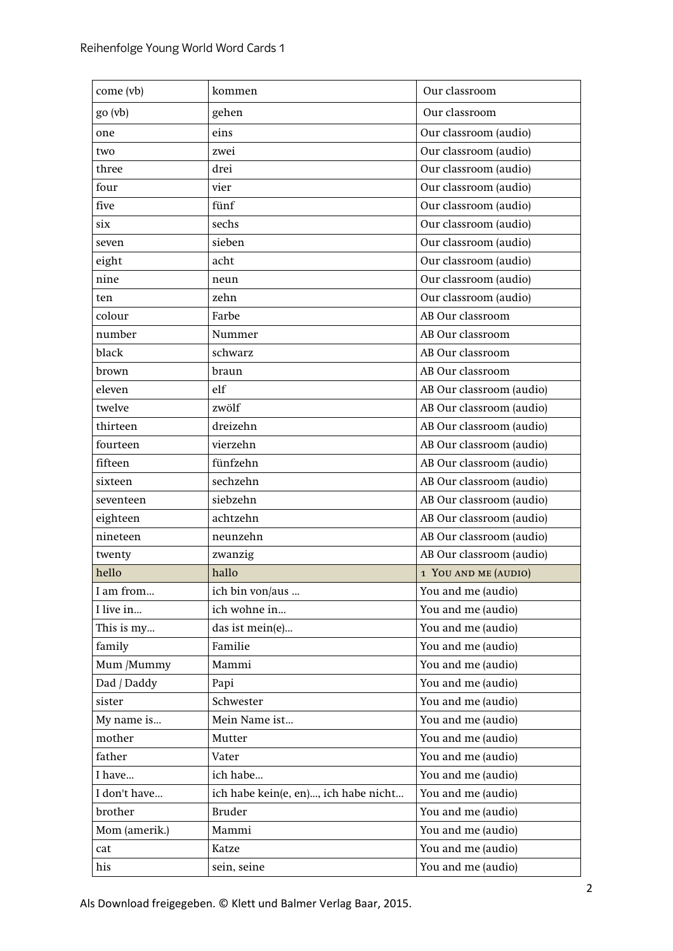| come (vb)     | kommen                               | Our classroom            |
|---------------|--------------------------------------|--------------------------|
| go (vb)       | gehen                                | Our classroom            |
| one           | eins                                 | Our classroom (audio)    |
| two           | zwei                                 | Our classroom (audio)    |
| three         | drei                                 | Our classroom (audio)    |
| four          | vier                                 | Our classroom (audio)    |
| five          | fünf                                 | Our classroom (audio)    |
| six           | sechs                                | Our classroom (audio)    |
| seven         | sieben                               | Our classroom (audio)    |
| eight         | acht                                 | Our classroom (audio)    |
| nine          | neun                                 | Our classroom (audio)    |
| ten           | zehn                                 | Our classroom (audio)    |
| colour        | Farbe                                | AB Our classroom         |
| number        | Nummer                               | AB Our classroom         |
| black         | schwarz                              | AB Our classroom         |
| brown         | braun                                | AB Our classroom         |
| eleven        | elf                                  | AB Our classroom (audio) |
| twelve        | zwölf                                | AB Our classroom (audio) |
| thirteen      | dreizehn                             | AB Our classroom (audio) |
| fourteen      | vierzehn                             | AB Our classroom (audio) |
| fifteen       | fünfzehn                             | AB Our classroom (audio) |
| sixteen       | sechzehn                             | AB Our classroom (audio) |
| seventeen     | siebzehn                             | AB Our classroom (audio) |
| eighteen      | achtzehn                             | AB Our classroom (audio) |
| nineteen      | neunzehn                             | AB Our classroom (audio) |
| twenty        | zwanzig                              | AB Our classroom (audio) |
| hello         | hallo                                | 1 YOU AND ME (AUDIO)     |
| I am from     | ich bin von/aus                      | You and me (audio)       |
| I live in     | ich wohne in                         | You and me (audio)       |
| This is my    | das ist mein(e)                      | You and me (audio)       |
| family        | Familie                              | You and me (audio)       |
| Mum /Mummy    | Mammi                                | You and me (audio)       |
| Dad / Daddy   | Papi                                 | You and me (audio)       |
| sister        | Schwester                            | You and me (audio)       |
| My name is    | Mein Name ist                        | You and me (audio)       |
| mother        | Mutter                               | You and me (audio)       |
| father        | Vater                                | You and me (audio)       |
| I have        | ich habe                             | You and me (audio)       |
| I don't have  | ich habe kein(e, en), ich habe nicht | You and me (audio)       |
| brother       | <b>Bruder</b>                        | You and me (audio)       |
| Mom (amerik.) | Mammi                                | You and me (audio)       |
| cat           | Katze                                | You and me (audio)       |
| his           | sein, seine                          | You and me (audio)       |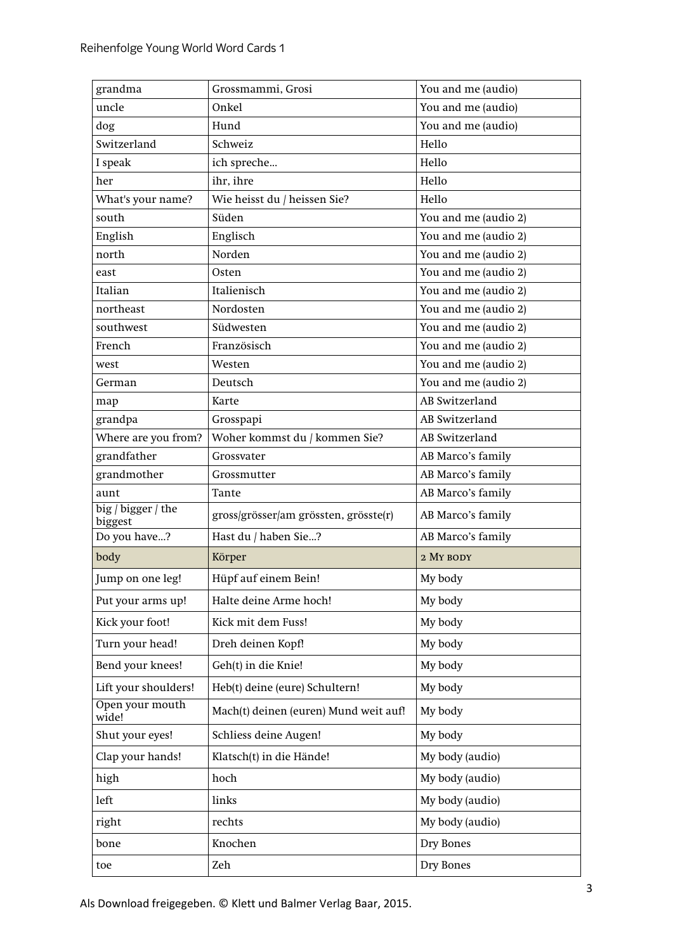| grandma                       | Grossmammi, Grosi                     | You and me (audio)   |
|-------------------------------|---------------------------------------|----------------------|
| uncle                         | Onkel                                 | You and me (audio)   |
| dog                           | Hund                                  | You and me (audio)   |
| Switzerland                   | Schweiz                               | Hello                |
| I speak                       | ich spreche                           | Hello                |
| her                           | ihr, ihre                             | Hello                |
| What's your name?             | Wie heisst du / heissen Sie?          | Hello                |
| south                         | Süden                                 | You and me (audio 2) |
| English                       | Englisch                              | You and me (audio 2) |
| north                         | Norden                                | You and me (audio 2) |
| east                          | Osten                                 | You and me (audio 2) |
| Italian                       | Italienisch                           | You and me (audio 2) |
| northeast                     | Nordosten                             | You and me (audio 2) |
| southwest                     | Südwesten                             | You and me (audio 2) |
| French                        | Französisch                           | You and me (audio 2) |
| west                          | Westen                                | You and me (audio 2) |
| German                        | Deutsch                               | You and me (audio 2) |
| map                           | Karte                                 | AB Switzerland       |
| grandpa                       | Grosspapi                             | AB Switzerland       |
| Where are you from?           | Woher kommst du / kommen Sie?         | AB Switzerland       |
| grandfather                   | Grossvater                            | AB Marco's family    |
| grandmother                   | Grossmutter                           | AB Marco's family    |
| aunt                          | Tante                                 | AB Marco's family    |
| big / bigger / the<br>biggest | gross/grösser/am grössten, grösste(r) | AB Marco's family    |
| Do you have?                  | Hast du / haben Sie?                  | AB Marco's family    |
| body                          | Körper                                | 2 MY BODY            |
| Jump on one leg!              | Hüpf auf einem Bein!                  | My body              |
| Put your arms up!             | Halte deine Arme hoch!                | My body              |
| Kick your foot!               | Kick mit dem Fuss!                    | My body              |
| Turn your head!               | Dreh deinen Kopf!                     | My body              |
| Bend your knees!              | Geh(t) in die Knie!                   | My body              |
| Lift your shoulders!          | Heb(t) deine (eure) Schultern!        | My body              |
| Open your mouth<br>wide!      | Mach(t) deinen (euren) Mund weit auf! | My body              |
| Shut your eyes!               | Schliess deine Augen!                 | My body              |
| Clap your hands!              | Klatsch(t) in die Hände!              | My body (audio)      |
| high                          | hoch                                  | My body (audio)      |
| left                          | links                                 | My body (audio)      |
| right                         | rechts                                | My body (audio)      |
| bone                          | Knochen                               | Dry Bones            |
| toe                           | Zeh                                   | Dry Bones            |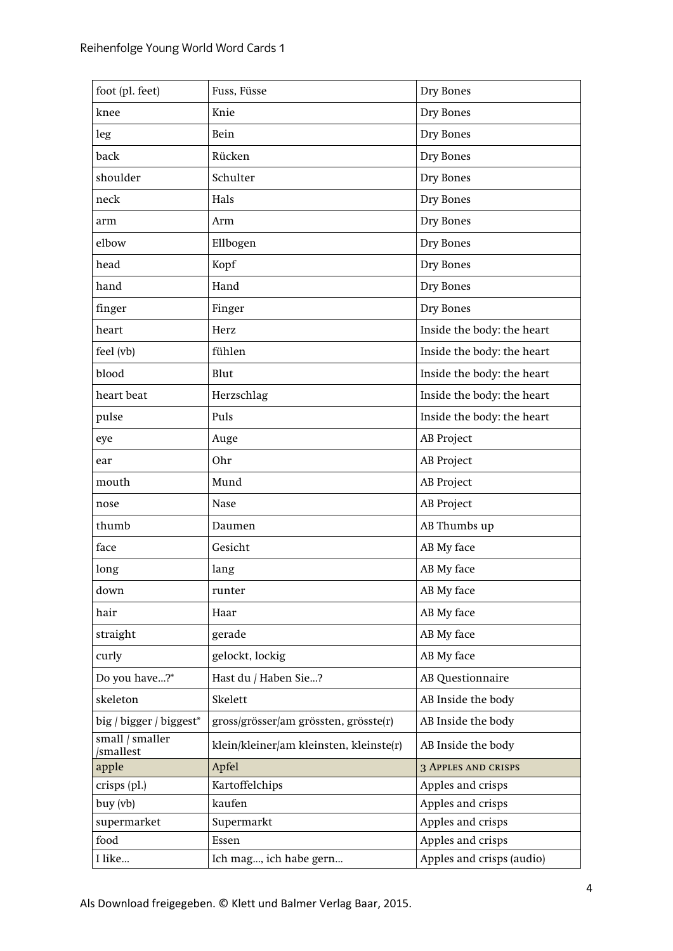| foot (pl. feet)              | Fuss, Füsse                             | Dry Bones                  |
|------------------------------|-----------------------------------------|----------------------------|
| knee                         | Knie                                    | Dry Bones                  |
| leg                          | Bein                                    | Dry Bones                  |
| back                         | Rücken                                  | Dry Bones                  |
| shoulder                     | Schulter                                | Dry Bones                  |
| neck                         | Hals                                    | Dry Bones                  |
| arm                          | Arm                                     | Dry Bones                  |
| elbow                        | Ellbogen                                | Dry Bones                  |
| head                         | Kopf                                    | Dry Bones                  |
| hand                         | Hand                                    | Dry Bones                  |
| finger                       | Finger                                  | Dry Bones                  |
| heart                        | Herz                                    | Inside the body: the heart |
| feel (vb)                    | fühlen                                  | Inside the body: the heart |
| blood                        | Blut                                    | Inside the body: the heart |
| heart beat                   | Herzschlag                              | Inside the body: the heart |
| pulse                        | Puls                                    | Inside the body: the heart |
| eye                          | Auge                                    | <b>AB</b> Project          |
| ear                          | Ohr                                     | <b>AB</b> Project          |
| mouth                        | Mund                                    | AB Project                 |
| nose                         | <b>Nase</b>                             | <b>AB</b> Project          |
| thumb                        | Daumen                                  | AB Thumbs up               |
| face                         | Gesicht                                 | AB My face                 |
| long                         | lang                                    | AB My face                 |
| down                         | runter                                  | AB My face                 |
| hair                         | Haar                                    | AB My face                 |
| straight                     | gerade                                  | AB My face                 |
| curly                        | gelockt, lockig                         | AB My face                 |
| Do you have?*                | Hast du / Haben Sie?                    | AB Questionnaire           |
| skeleton                     | Skelett                                 | AB Inside the body         |
| big / bigger / biggest*      | gross/grösser/am grössten, grösste(r)   | AB Inside the body         |
| small / smaller<br>/smallest | klein/kleiner/am kleinsten, kleinste(r) | AB Inside the body         |
| apple                        | Apfel                                   | <b>3 APPLES AND CRISPS</b> |
| crisps (pl.)                 | Kartoffelchips                          | Apples and crisps          |
| buy (vb)                     | kaufen                                  | Apples and crisps          |
| supermarket                  | Supermarkt                              | Apples and crisps          |
| food                         | Essen                                   | Apples and crisps          |
| I like                       | Ich mag, ich habe gern                  | Apples and crisps (audio)  |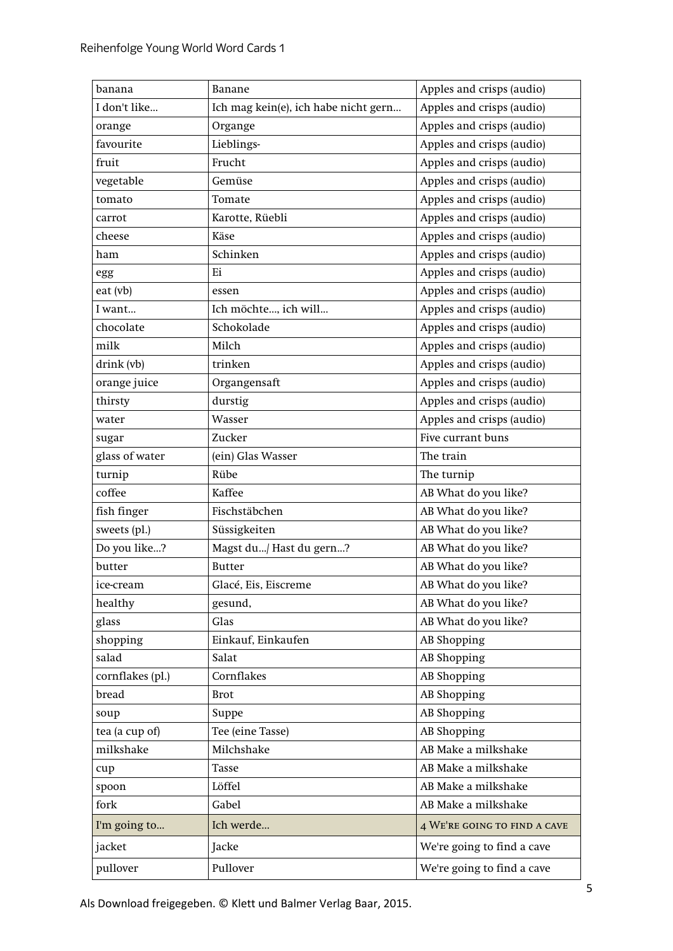| banana           | Banane                               | Apples and crisps (audio)    |
|------------------|--------------------------------------|------------------------------|
| I don't like     | Ich mag kein(e), ich habe nicht gern | Apples and crisps (audio)    |
| orange           | Organge                              | Apples and crisps (audio)    |
| favourite        | Lieblings-                           | Apples and crisps (audio)    |
| fruit            | Frucht                               | Apples and crisps (audio)    |
| vegetable        | Gemüse                               | Apples and crisps (audio)    |
| tomato           | Tomate                               | Apples and crisps (audio)    |
| carrot           | Karotte, Rüebli                      | Apples and crisps (audio)    |
| cheese           | Käse                                 | Apples and crisps (audio)    |
| ham              | Schinken                             | Apples and crisps (audio)    |
| egg              | Ei                                   | Apples and crisps (audio)    |
| eat (vb)         | essen                                | Apples and crisps (audio)    |
| I want           | Ich möchte, ich will                 | Apples and crisps (audio)    |
| chocolate        | Schokolade                           | Apples and crisps (audio)    |
| milk             | Milch                                | Apples and crisps (audio)    |
| drink (vb)       | trinken                              | Apples and crisps (audio)    |
| orange juice     | Organgensaft                         | Apples and crisps (audio)    |
| thirsty          | durstig                              | Apples and crisps (audio)    |
| water            | Wasser                               | Apples and crisps (audio)    |
| sugar            | Zucker                               | Five currant buns            |
| glass of water   | (ein) Glas Wasser                    | The train                    |
| turnip           | Rübe                                 | The turnip                   |
| coffee           | Kaffee                               | AB What do you like?         |
| fish finger      | Fischstäbchen                        | AB What do you like?         |
| sweets (pl.)     | Süssigkeiten                         | AB What do you like?         |
| Do you like?     | Magst du/ Hast du gern?              | AB What do you like?         |
| butter           | <b>Butter</b>                        | AB What do you like?         |
| ice-cream        | Glacé, Eis, Eiscreme                 | AB What do you like?         |
| healthy          | gesund,                              | AB What do you like?         |
| glass            | Glas                                 | AB What do you like?         |
| shopping         | Einkauf, Einkaufen                   | AB Shopping                  |
| salad            | Salat                                | AB Shopping                  |
| cornflakes (pl.) | Cornflakes                           | AB Shopping                  |
| bread            | <b>Brot</b>                          | AB Shopping                  |
| soup             | Suppe                                | AB Shopping                  |
| tea (a cup of)   | Tee (eine Tasse)                     | AB Shopping                  |
| milkshake        | Milchshake                           | AB Make a milkshake          |
| cup              | Tasse                                | AB Make a milkshake          |
| spoon            | Löffel                               | AB Make a milkshake          |
| fork             | Gabel                                | AB Make a milkshake          |
| I'm going to     | Ich werde                            | 4 WE'RE GOING TO FIND A CAVE |
| jacket           | Jacke                                | We're going to find a cave   |
| pullover         | Pullover                             | We're going to find a cave   |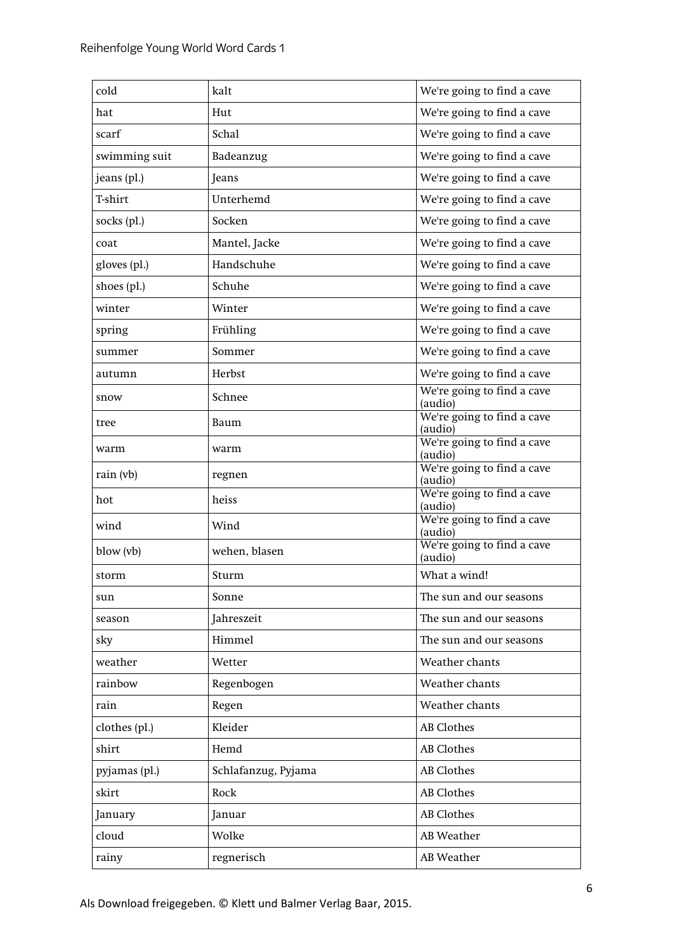| cold          | kalt                | We're going to find a cave            |
|---------------|---------------------|---------------------------------------|
| hat           | Hut                 | We're going to find a cave            |
| scarf         | Schal               | We're going to find a cave            |
| swimming suit | Badeanzug           | We're going to find a cave            |
| jeans (pl.)   | Jeans               | We're going to find a cave            |
| T-shirt       | Unterhemd           | We're going to find a cave            |
| socks (pl.)   | Socken              | We're going to find a cave            |
| coat          | Mantel, Jacke       | We're going to find a cave            |
| gloves (pl.)  | Handschuhe          | We're going to find a cave            |
| shoes (pl.)   | Schuhe              | We're going to find a cave            |
| winter        | Winter              | We're going to find a cave            |
| spring        | Frühling            | We're going to find a cave            |
| summer        | Sommer              | We're going to find a cave            |
| autumn        | Herbst              | We're going to find a cave            |
| snow          | Schnee              | We're going to find a cave<br>(audio) |
| tree          | Baum                | We're going to find a cave<br>(audio) |
| warm          | warm                | We're going to find a cave<br>(audio) |
| rain (vb)     | regnen              | We're going to find a cave<br>(audio) |
| hot           | heiss               | We're going to find a cave<br>(audio) |
| wind          | Wind                | We're going to find a cave<br>(audio) |
| blow (vb)     | wehen, blasen       | We're going to find a cave<br>(audio) |
| storm         | Sturm               | What a wind!                          |
| sun           | Sonne               | The sun and our seasons               |
| season        | Jahreszeit          | The sun and our seasons               |
| sky           | Himmel              | The sun and our seasons               |
| weather       | Wetter              | Weather chants                        |
| rainbow       | Regenbogen          | Weather chants                        |
| rain          | Regen               | Weather chants                        |
| clothes (pl.) | Kleider             | <b>AB</b> Clothes                     |
| shirt         | Hemd                | AB Clothes                            |
| pyjamas (pl.) | Schlafanzug, Pyjama | AB Clothes                            |
| skirt         | Rock                | AB Clothes                            |
| January       | Januar              | AB Clothes                            |
| cloud         | Wolke               | AB Weather                            |
| rainy         | regnerisch          | AB Weather                            |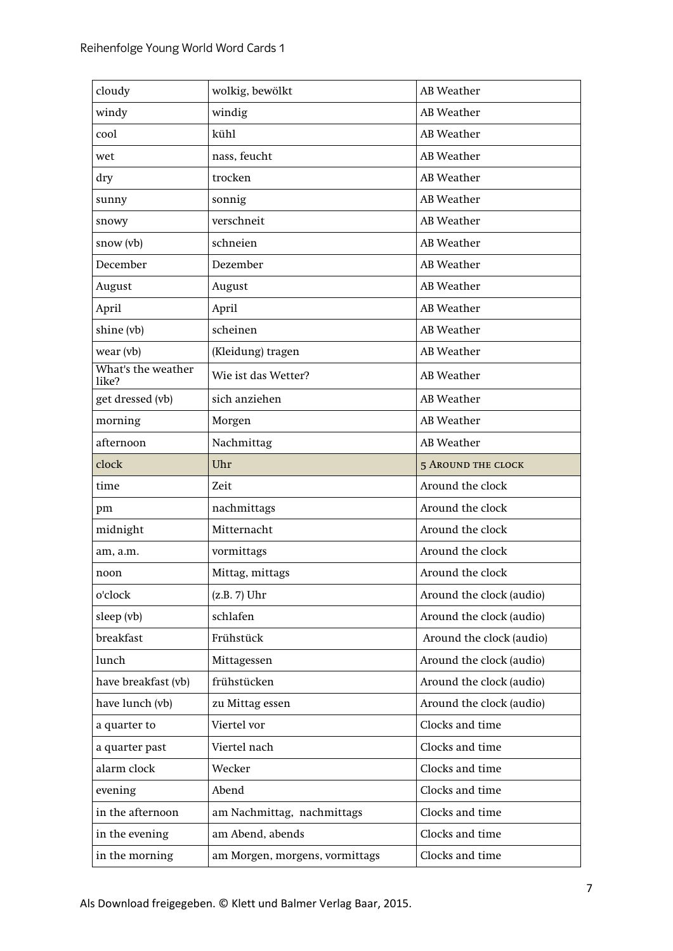| cloudy                      | wolkig, bewölkt                | <b>AB</b> Weather         |
|-----------------------------|--------------------------------|---------------------------|
| windy                       | windig                         | <b>AB</b> Weather         |
| cool                        | kühl                           | <b>AB</b> Weather         |
| wet                         | nass, feucht                   | <b>AB</b> Weather         |
| dry                         | trocken                        | <b>AB</b> Weather         |
| sunny                       | sonnig                         | AB Weather                |
| snowy                       | verschneit                     | <b>AB</b> Weather         |
| snow (vb)                   | schneien                       | <b>AB</b> Weather         |
| December                    | Dezember                       | <b>AB</b> Weather         |
| August                      | August                         | AB Weather                |
| April                       | April                          | AB Weather                |
| shine (vb)                  | scheinen                       | AB Weather                |
| wear (vb)                   | (Kleidung) tragen              | AB Weather                |
| What's the weather<br>like? | Wie ist das Wetter?            | <b>AB</b> Weather         |
| get dressed (vb)            | sich anziehen                  | <b>AB</b> Weather         |
| morning                     | Morgen                         | <b>AB</b> Weather         |
| afternoon                   | Nachmittag                     | <b>AB</b> Weather         |
| clock                       | Uhr                            | <b>5 AROUND THE CLOCK</b> |
| time                        | Zeit                           | Around the clock          |
| pm                          | nachmittags                    | Around the clock          |
| midnight                    | Mitternacht                    | Around the clock          |
| am, a.m.                    | vormittags                     | Around the clock          |
| noon                        | Mittag, mittags                | Around the clock          |
| o'clock                     | $(z.B. 7)$ Uhr                 | Around the clock (audio)  |
| sleep (vb)                  | schlafen                       | Around the clock (audio)  |
| breakfast                   | Frühstück                      | Around the clock (audio)  |
| lunch                       | Mittagessen                    | Around the clock (audio)  |
| have breakfast (vb)         | frühstücken                    | Around the clock (audio)  |
| have lunch (vb)             | zu Mittag essen                | Around the clock (audio)  |
| a quarter to                | Viertel vor                    | Clocks and time           |
| a quarter past              | Viertel nach                   | Clocks and time           |
| alarm clock                 | Wecker                         | Clocks and time           |
| evening                     | Abend                          | Clocks and time           |
| in the afternoon            | am Nachmittag, nachmittags     | Clocks and time           |
| in the evening              | am Abend, abends               | Clocks and time           |
| in the morning              | am Morgen, morgens, vormittags | Clocks and time           |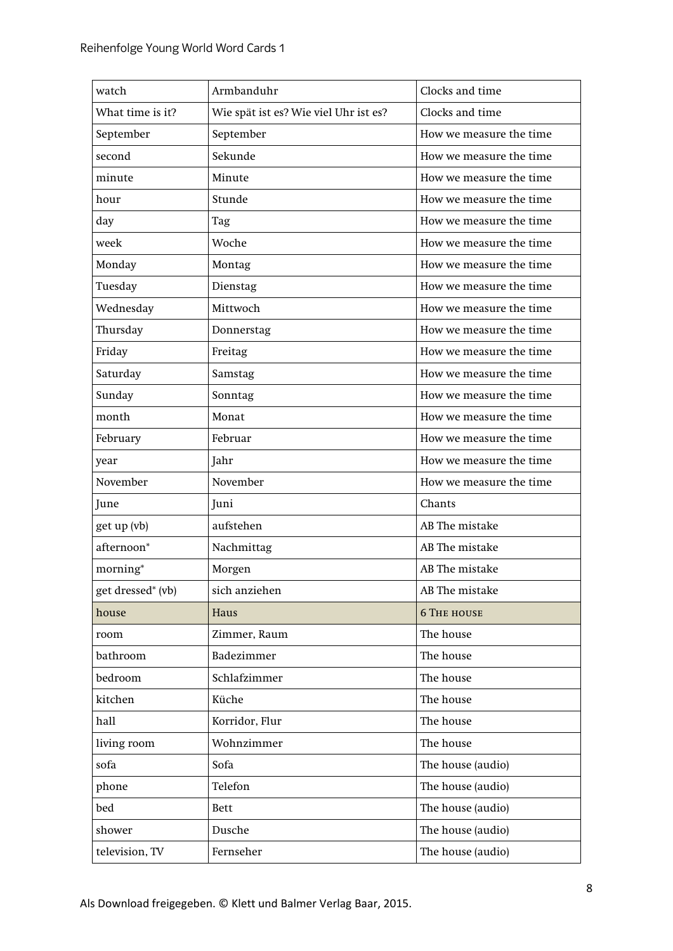| watch             | Armbanduhr                            | Clocks and time         |
|-------------------|---------------------------------------|-------------------------|
| What time is it?  | Wie spät ist es? Wie viel Uhr ist es? | Clocks and time         |
| September         | September                             | How we measure the time |
| second            | Sekunde                               | How we measure the time |
| minute            | Minute                                | How we measure the time |
| hour              | Stunde                                | How we measure the time |
| day               | Tag                                   | How we measure the time |
| week              | Woche                                 | How we measure the time |
| Monday            | Montag                                | How we measure the time |
| Tuesday           | Dienstag                              | How we measure the time |
| Wednesday         | Mittwoch                              | How we measure the time |
| Thursday          | Donnerstag                            | How we measure the time |
| Friday            | Freitag                               | How we measure the time |
| Saturday          | Samstag                               | How we measure the time |
| Sunday            | Sonntag                               | How we measure the time |
| month             | Monat                                 | How we measure the time |
| February          | Februar                               | How we measure the time |
| year              | Jahr                                  | How we measure the time |
| November          | November                              | How we measure the time |
| June              | Juni                                  | Chants                  |
| get up (vb)       | aufstehen                             | AB The mistake          |
| afternoon*        | Nachmittag                            | AB The mistake          |
| morning*          | Morgen                                | AB The mistake          |
| get dressed* (vb) | sich anziehen                         | AB The mistake          |
| house             | Haus                                  | <b>6 THE HOUSE</b>      |
| room              | Zimmer, Raum                          | The house               |
| bathroom          | Badezimmer                            | The house               |
| bedroom           | Schlafzimmer                          | The house               |
| kitchen           | Küche                                 | The house               |
| hall              | Korridor, Flur                        | The house               |
| living room       | Wohnzimmer                            | The house               |
| sofa              | Sofa                                  | The house (audio)       |
| phone             | Telefon                               | The house (audio)       |
| bed               | Bett                                  | The house (audio)       |
| shower            | Dusche                                | The house (audio)       |
| television, TV    | Fernseher                             | The house (audio)       |